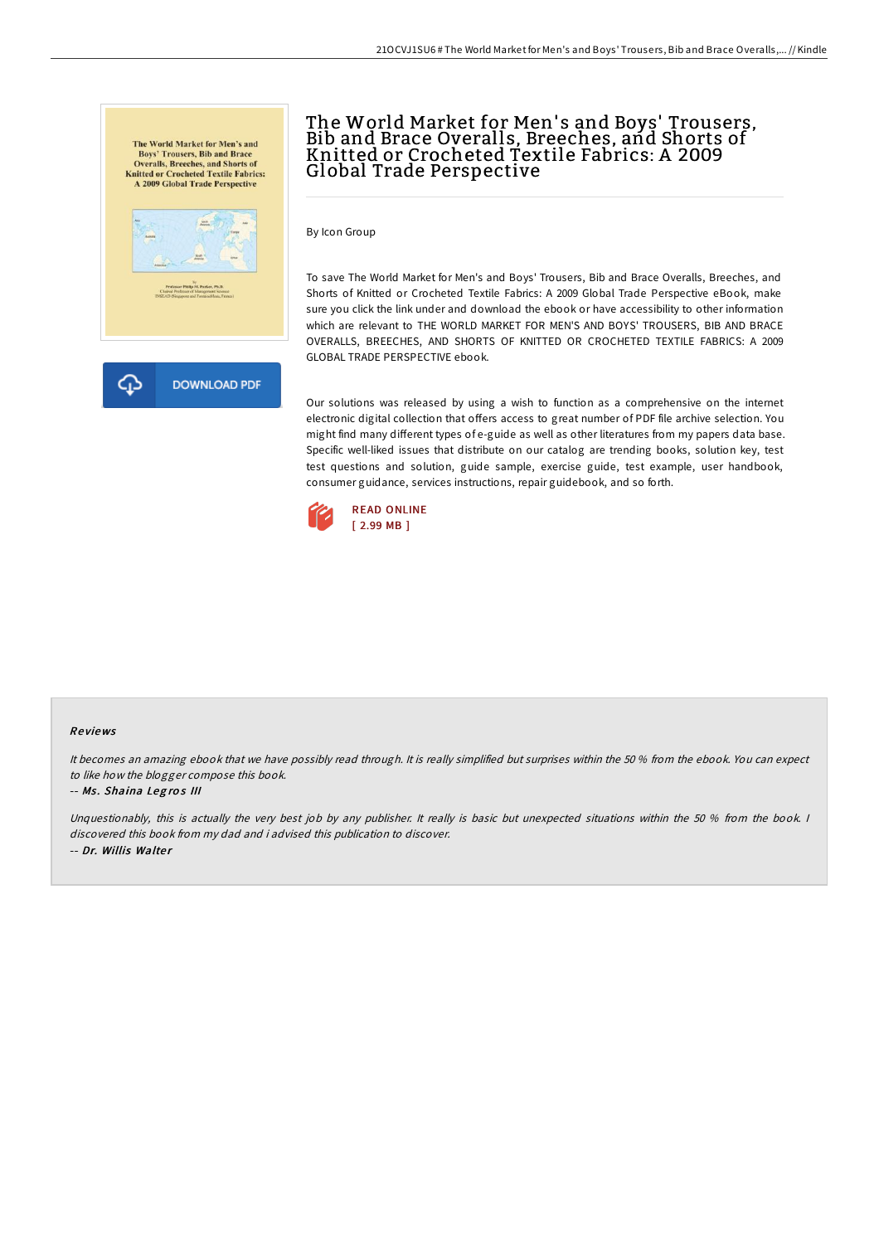



# The World Market for Men' s and Boys' Trousers, Bib and Brace Overalls, Breeches, and Shorts of Knitted or Crocheted Textile Fabrics: A 2009 Global Trade Perspective

By Icon Group

To save The World Market for Men's and Boys' Trousers, Bib and Brace Overalls, Breeches, and Shorts of Knitted or Crocheted Textile Fabrics: A 2009 Global Trade Perspective eBook, make sure you click the link under and download the ebook or have accessibility to other information which are relevant to THE WORLD MARKET FOR MEN'S AND BOYS' TROUSERS, BIB AND BRACE OVERALLS, BREECHES, AND SHORTS OF KNITTED OR CROCHETED TEXTILE FABRICS: A 2009 GLOBAL TRADE PERSPECTIVE ebook.

Our solutions was released by using a wish to function as a comprehensive on the internet electronic digital collection that offers access to great number of PDF file archive selection. You might find many different types of e-guide as well as other literatures from my papers data base. Specific well-liked issues that distribute on our catalog are trending books, solution key, test test questions and solution, guide sample, exercise guide, test example, user handbook, consumer guidance, services instructions, repair guidebook, and so forth.



#### Re views

It becomes an amazing ebook that we have possibly read through. It is really simplified but surprises within the 50 % from the ebook. You can expect to like how the blogger compose this book.

#### -- Ms. Shaina Legros III

Unquestionably, this is actually the very best job by any publisher. It really is basic but unexpected situations within the 50 % from the book. I discovered this book from my dad and i advised this publication to discover. -- Dr. Willis Walter